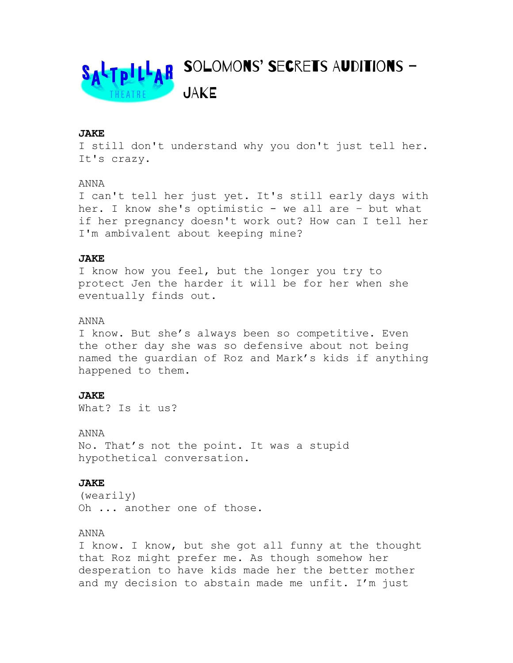

### JAKE

I still don't understand why you don't just tell her. It's crazy.

#### ANNA

I can't tell her just yet. It's still early days with her. I know she's optimistic - we all are - but what if her pregnancy doesn't work out? How can I tell her I'm ambivalent about keeping mine?

## JAKE

I know how you feel, but the longer you try to protect Jen the harder it will be for her when she eventually finds out.

#### ANNA

I know. But she's always been so competitive. Even the other day she was so defensive about not being named the guardian of Roz and Mark's kids if anything happened to them.

### JAKE

What? Is it us?

ANNA

No. That's not the point. It was a stupid hypothetical conversation.

### JAKE

(wearily) Oh ... another one of those.

#### ANNA

I know. I know, but she got all funny at the thought that Roz might prefer me. As though somehow her desperation to have kids made her the better mother and my decision to abstain made me unfit. I'm just